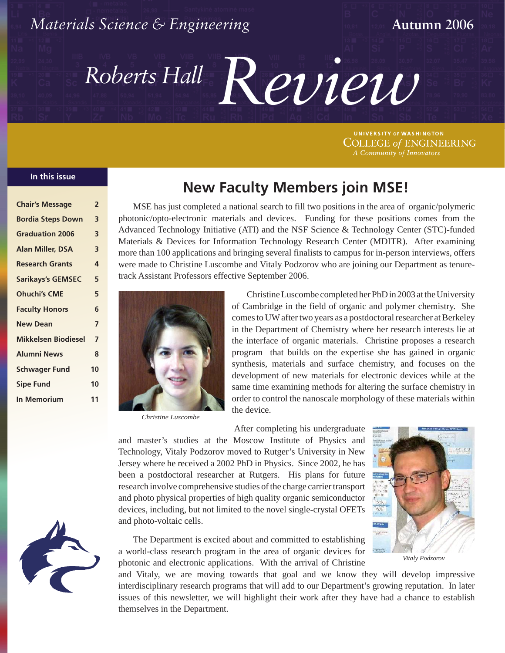

**COLLEGE of ENGINEERING** 

## **In this issue In this issue**

| <b>Chair's Message</b>     | $\overline{2}$ |
|----------------------------|----------------|
| <b>Bordia Steps Down</b>   | 3              |
| <b>Graduation 2006</b>     | 3              |
| <b>Alan Miller, DSA</b>    | 3              |
| <b>Research Grants</b>     | 4              |
| <b>Sarikays's GEMSEC</b>   | 5              |
| <b>Ohuchi's CME</b>        | 5              |
| <b>Faculty Honors</b>      | 6              |
| <b>New Dean</b>            | 7              |
| <b>Mikkelsen Biodiesel</b> | 7              |
| <b>Alumni News</b>         | 8              |
| <b>Schwager Fund</b>       | 10             |
| <b>Sipe Fund</b>           | 10             |
| <b>In Memorium</b>         | 11             |
|                            |                |



MSE has just completed a national search to fill two positions in the area of organic/polymeric photonic/opto-electronic materials and devices. Funding for these positions comes from the Advanced Technology Initiative (ATI) and the NSF Science & Technology Center (STC)-funded Materials & Devices for Information Technology Research Center (MDITR). After examining more than 100 applications and bringing several finalists to campus for in-person interviews, offers were made to Christine Luscombe and Vitaly Podzorov who are joining our Department as tenuretrack Assistant Professors effective September 2006.



*Christine Luscombe*

Christine Luscombe completed her PhD in 2003 at the University of Cambridge in the field of organic and polymer chemistry. She comes to UW after two years as a postdoctoral researcher at Berkeley in the Department of Chemistry where her research interests lie at the interface of organic materials. Christine proposes a research program that builds on the expertise she has gained in organic synthesis, materials and surface chemistry, and focuses on the development of new materials for electronic devices while at the same time examining methods for altering the surface chemistry in order to control the nanoscale morphology of these materials within the device.

After completing his undergraduate and master's studies at the Moscow Institute of Physics and Technology, Vitaly Podzorov moved to Rutger's University in New Jersey where he received a 2002 PhD in Physics. Since 2002, he has been a postdoctoral researcher at Rutgers. His plans for future research involve comprehensive studies of the charge carrier transport and photo physical properties of high quality organic semiconductor devices, including, but not limited to the novel single-crystal OFETs and photo-voltaic cells.



*Vitaly Podzorov*

The Department is excited about and committed to establishing a world-class research program in the area of organic devices for photonic and electronic applications. With the arrival of Christine

and Vitaly, we are moving towards that goal and we know they will develop impressive interdisciplinary research programs that will add to our Department's growing reputation. In later issues of this newsletter, we will highlight their work after they have had a chance to establish themselves in the Department.

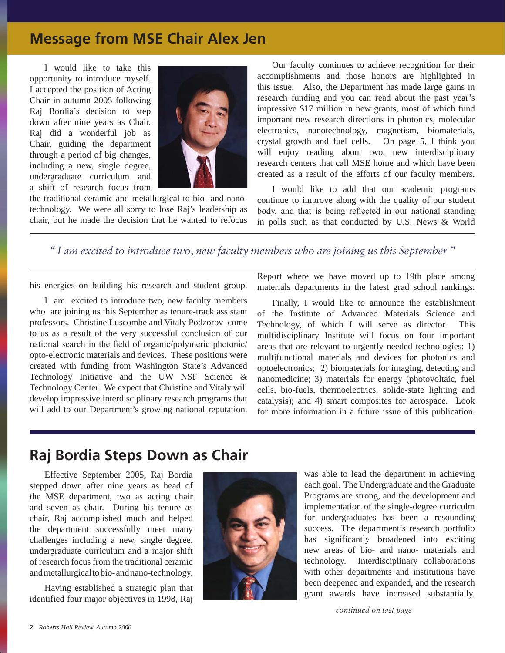# **Message from MSE Chair Alex Jen**

I would like to take this opportunity wintroduce myself. I accepted the position of Acting Chair in autumn 2005 following Raj Bordia's decision to step down after nine years as Chair. Raj did a wonderful job as Chair, guiding the department through a period of big changes, including a new, single degree, undergraduate curriculum and a shift of research focus from



the traditional ceramic and metallurgical to bio- and nanotechnology. We were all sorry to lose Raj's leadership as chair, but he made the decision that he wanted to refocus

Our faculty continues to achieve recognition for their accomplishments and those honors are highlighted in this issue. Also, the Department has made large gains in research funding and you can read about the past year's impressive \$17 million in new grants, most of which fund important new research directions in photonics, molecular electronics, nanotechnology, magnetism, biomaterials, crystal growth and fuel cells. On page 5, I think you will enjoy reading about two, new interdisciplinary research centers that call MSE home and which have been created as a result of the efforts of our faculty members.

I would like to add that our academic programs continue to improve along with the quality of our student body, and that is being reflected in our national standing in polls such as that conducted by U.S. News & World

*" I am excited to introduce two, new faculty members who are joining us this September "*

his energies on building his research and student group.

I am excited to introduce two, new faculty members who are joining us this September as tenure-track assistant professors. Christine Luscombe and Vitaly Podzorov come to us as a result of the very successful conclusion of our national search in the field of organic/polymeric photonic/ opto-electronic materials and devices. These positions were created with funding from Washington State's Advanced Technology Initiative and the UW NSF Science & Technology Center. We expect that Christine and Vitaly will develop impressive interdisciplinary research programs that will add to our Department's growing national reputation.

Report where we have moved up to 19th place among materials departments in the latest grad school rankings.

Finally, I would like to announce the establishment of the Institute of Advanced Materials Science and Technology, of which I will serve as director. This multidisciplinary Institute will focus on four important areas that are relevant  $\bullet$  urgently needed technologies: 1) multifunctional materials and devices for photonics and optoelectronics; 2) biomaterials for imaging, detecting and nanomedicine; 3) materials for nergy (photovoltaic, fuel cells, bio-fuels, thermoelectrics, solide-state lighting and catalysis); and 4) smart composites for aerospace. Look for more information in a future issue on this publication.

# **Raj Bordia Steps Down as Chair**

Effective September 2005, Raj Bordia stepped down after nine years as head of the MSE department, two as acting chair and seven as chair. During his tenure as chair, Raj accomplished much and helped the department successfully meet many challenges including a new, single degree, undergraduate curriculum and a major shift of research focus from the traditional ceramic and metallurgical to bio- and nano-technology.

Having established a strategic plan that identified four major objectives in 1998, Raj



was able to lead the department in achieving each goal. The Undergraduate and the Graduate Programs are strong, and the development and implementation of the single-degree curriculm for undergraduates has been a resounding success. The department's research portfolio has significantly broadened into exciting new areas of bio- and nano- materials and technology. Interdisciplinary collaborations with other departments and institutions have been deepened and expanded, and the research grant awards have increased substantially.

*continued on last page*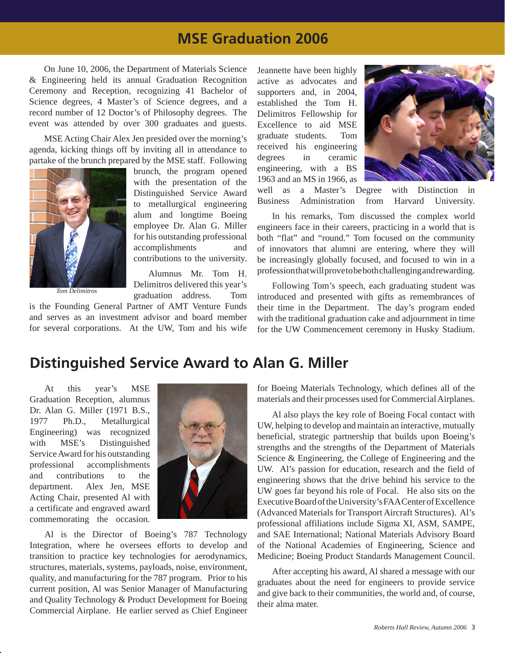# **MSE Graduation 2006**

On June 10, 2006, the Department of Materials Science & Engineering held its annual Graduation Recognition Ceremony and Reception, recognizing 41 Bachelor of Science degrees, **A** Master's of Science degrees, and a record number of 12 Doctor's of Philosophy degrees. The event was attended by over 300 graduates and guests.

MSE Acting Chair Alex Jeen presided over the morning's agenda, kicking things off by inviting all in attendance to partake of the brunch prepared by the MSE staff. Following



*Tom Delimitros*

brunch, the program opened with the presentation of the Distinguished Service Award to metallurgical engineering alum and longtime Boeing employee Dr. Alan G. Miller for his outstanding professional accomplishments and contributions to the university.

Alumnus Mr. Tom H. Delimitros delivered this year's graduation address. Tom

is the Founding General Partner of AMT Venture Funds and serves as an investment advisor and board member for several corporations. At the UW, Tom and his wife Jeannette have been highly active as advocates and supporters and, in 2004, established the Tom H. Delimitros Fellowship for Excellence to aid MSE graduate students. Tom received his engineering degrees in ceramic engineering, with a BS 1963 and an MS in 1966, as



well as a Master's Degree with Distinction in Business Administration from Harvard University.

In his remarks, Tom discussed the complex world engineers face in their careers, practicing in a world that is both "flat" and "round." Tom focused on the community of innovators that alumni are entering, where they will be increasingly globally focused, and focused to win in a profession that will prove to be both challenging and rewarding.

Following Tom's speech, each graduating student was introduced and presented with gifts as remembrances of their time in the Department. The day's program ended with the traditional graduation cake and adjournment in time for the UW Common ceremony in Husky Stadium.

# **Distinguished Service Award to Alan G. Miller**

At this year's MSE Graduation Reception, alumnus Dr. Alan G. Miller (1971 B.S., 1977 Ph.D., Metallurgical Engineering) was recognized with MSE's Distinguished Service Award for his outstanding professional accomplishments and contributions to the department. Alex Jen, MSE Acting Chair, presented Al with a certificate and engraved award commemorating the occasion.



Al is the Director of Boeing's 787 Technology Integration, where he oversees efforts to develop and transition to practice key technologies for aerodynamics, structures, materials, systems, payloads, noise, environment, quality, and manufacturing for the 787 program. Prior to his current position, Al was Senior Manager of Manufacturing and Quality Technology & Product Development for Boeing Commercial Airplane. He earlier served as Chief Engineer for Boeing Materials Technology, which defines all of the materials and their processes used for  $C$  mmercial Airplanes.

Al also plays the key role of Boeing Focal contact with UW, helping to develop and maintain an interactive, mutually beneficial, strategic partnership that builds upon Boeing's strengths and the strengths of the Department of Materials Science & Engineering, the College of Engineering and the UW. Al's passion for education, research and the field engineering shows that the drive behind his service to the UW goes far beyond his role of Focal. He also sits on the Executive Board of the University's FAA Center of Excellence (Advanced Materials for Transport Aircraft Structures). Al's professional affiliations include Sigma XI, ASM, SAMPE, and SAE International; National Materials Advisory Board of the National Academies of Engineering, Science and Medicine; Boeing Product Standards Management Council.

After accepting his award, Al shared a message with our graduates about the need for engineers to provide service and give back to their communities, the world and, of course, their alma mater.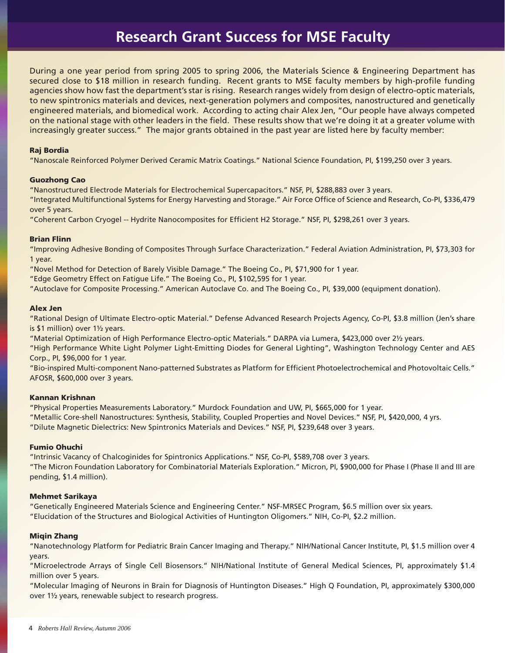# **Research Grant Success for MSE Faculty**

During a one year period from spring 2005 to spring 2006, the Materials Science & Engineering Department has secured close to \$18 million in research funding. Recent grants to MSE faculty members by high-profile funding agencies show how fast the department's star is rising. Research ranges widely from design of electro-optic materials, to new spintronics materials and devices, next-generation polymers and composites, nanostructured and genetically engineered materials, and biomedical work. According to acting chair Alex Jen, "Our people have always competed on the national stage with other leaders in the field. These results show that we're doing it at a greater volume with increasingly greater success." The major grants obtained in the past year are listed here by faculty member:

## Raj Bordia

"Nanoscale Reinforced Polymer Derived Ceramic Matrix Coatings." National Science Foundation, PI, \$199,250 over 3 years.

### Guozhong Cao

"Nanostructured Electrode Materials for Electrochemical Supercapacitors." NSF, PI, \$288,883 over 3 years.

"Integrated Multifunctional Systems for Energy Harvesting and Storage." Air Force Office of Science and Research, Co-PI, \$336,479 over 5 years.

"Coherent Carbon Cryogel -- Hydrite Nanocomposites for Efficient H2 Storage." NSF, PI, \$298,261 over 3 years.

## Brian Flinn

"Improving Adhesive Bonding of Composites Through Surface Characterization." Federal Aviation Administration, PI, \$73,303 for 1 year.

"Novel Method for Detection of Barely Visible Damage." The Boeing Co., PI, \$71,900 for 1 year.

"Edge Geometry Effect on Fatigue Life." The Boeing Co., PI, \$102,595 for 1 year.

"Autoclave for Composite Processing." American Autoclave Co. and The Boeing Co., PI, \$39,000 (equipment donation).

## Alex Jen

"Rational Design of Ultimate Electro-optic Material." Defense Advanced Research Projects Agency, Co-PI, \$3.8 million (Jen's share is \$1 million) over 1½ years.

"Material Optimization of High Performance Electro-optic Materials." DARPA via Lumera, \$423,000 over 2½ years.

"High Performance White Light Polymer Light-Emitting Diodes for General Lighting", Washington Technology Center and AES Corp., PI, \$96,000 for 1 year.

"Bio-inspired Multi-component Nano-patterned Substrates as Platform for Efficient Photoelectrochemical and Photovoltaic Cells." AFOSR, \$600,000 over 3 years.

### Kannan Krishnan

"Physical Properties Measurements Laboratory." Murdock Foundation and UW, PI, \$665,000 for 1 year. "Metallic Core-shell Nanostructures: Synthesis, Stability, Coupled Properties and Novel Devices." NSF, PI, \$420,000, 4 yrs. "Dilute Magnetic Dielectrics: New Spintronics Materials and Devices." NSF, PI, \$239,648 over 3 years.

## Fumio Ohuchi

"Intrinsic Vacancy of Chalcoginides for Spintronics Applications." NSF, Co-PI, \$589,708 over 3 years. "The Micron Foundation Laboratory for Combinatorial Materials Exploration." Micron, PI, \$900,000 for Phase I (Phase II and III are pending, \$1.4 million).

## Mehmet Sarikaya

"Genetically Engineered Materials Science and Engineering Center." NSF-MRSEC Program, \$6.5 million over six years. "Elucidation of the Structures and Biological Activities of Huntington Oligomers." NIH, Co-PI, \$2.2 million.

## Miqin Zhang

"Nanotechnology Platform for Pediatric Brain Cancer Imaging and Therapy." NIH/National Cancer Institute, PI, \$1.5 million over 4 years.

"Microelectrode Arrays of Single Cell Biosensors." NIH/National Institute of General Medical Sciences, PI, approximately \$1.4 million over 5 years.

"Molecular Imaging of Neurons in Brain for Diagnosis of Huntington Diseases." High Q Foundation, PI, approximately \$300,000 over 1½ years, renewable subject to research progress.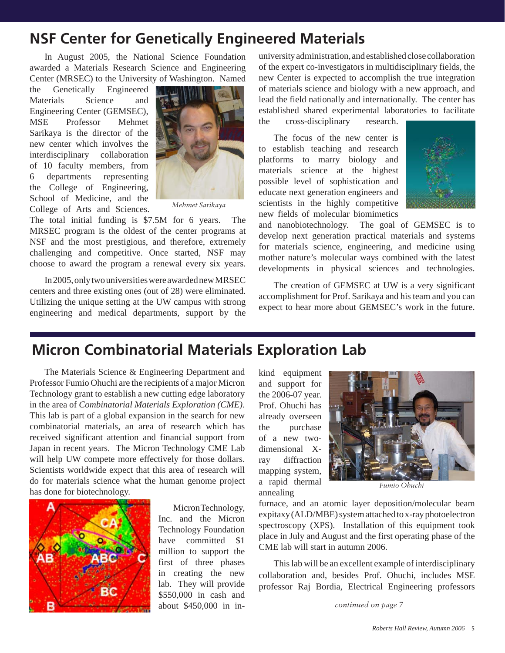# **NSF Center for Genetically Engineered Materials**

In August 2005, the National Science Foundation awarded a Materials Research Science and Engineering Center (MRSEC) to the University of Washington. Named

the Genetically Engineered Materials Science and Engineering Center (GEMSEC), MSE Professor Mehmet Sarikaya is the director of the new center which involves the interdisciplinary collaboration of 10 faculty members, from 6 departments representing the College of Engineering, School of Medicine, and the College of Arts and Sciences.



*Mehmet Sarikaya*

The total initial funding is \$7.5M for 6 years. The MRSEC program is the oldest of the center programs at NSF and the most prestigious, and therefore, extremely challenging and competitive. Once started, NSF may choose to award the program a renewal every six years.

In 2005, only two universities were awarded new MRSEC centers and three existing ones (out of 28) were eliminated. Utilizing the unique setting at the UW campus with strong engineering and medical departments, support by the

university administration, and established close collaboration of the expert co-investigators in multidisciplinary fields, the new Center is expected to accomplish the true integration of materials science and biology with a new approach, and lead the field nationally and internationally. The center has established shared experimental laboratories to facilitate

the cross-disciplinary research.

The focus of the new center is to establish teaching and research platforms to marry biology and materials science at the highest possible level of sophistication and educate next generation engineers and scientists in the highly competitive new fields of molecular biomimetics



and nanobiotechnology. The goal of GEMSEC is to develop next generation practical materials and systems for materials science, engineering, and medicine using mother nature's molecular ways combined with the latest developments in physical sciences and technologies.

The creation of GEMSEC at UW is a very significant accomplishment for Prof. Sarikaya and his team and you can expect to hear more about GEMSEC's work in the future.

# **Micron Combinatorial Materials Exploration Lab**

The Materials Science & Engineering Department and Professor Fumio Ohuchi are the recipients of a major Micron Technology grant to establish a new cutting edge laboratory in the area of *Combinatorial Materials Exploration (CME)*. This lab is part of a global expansion in the search for new combinatorial materials, an area of research which has received significant attention and financial support from Japan in recent years. The Micron Technology CME Lab will help UW compete more effectively for those dollars. Scientists worldwide expect that this area of research will do for materials science what the human genome project has done for biotechnology.



Micron Technology, Inc. and the Micron Technology Foundation have committed \$1 million to support the first of three phases in creating the new lab. They will provide \$550,000 in cash and about \$450,000 in inkind equipment and support for the 2006-07 year. Prof. Ohuchi has already overseen the purchase of a new twodimensional Xray diffraction mapping system, a rapid thermal annealing



*Fumio Ohuchi*

furnace, and an atomic layer deposition/molecular beam expitaxy (ALD/MBE) system attached to x-ray photoelectron spectroscopy (XPS). Installation of this equipment took place in July and August and the first operating phase of the CME lab will start in autumn 2006.

This lab will be an excellent example of interdisciplinary collaboration and, besides Prof. Ohuchi, includes MSE professor Raj Bordia, Electrical Engineering professors

*continued on page 7*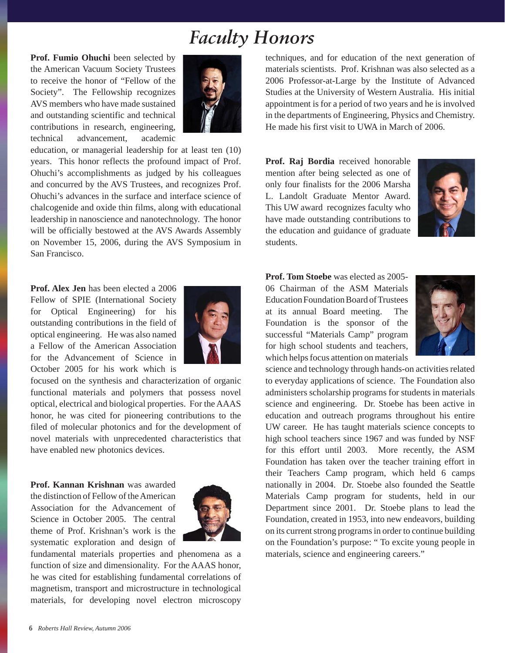# *Faculty Honors*

**Prof. Fumio Ohuchi** been selected by the American Vacuum Society Trustees to receive the honor of "Fellow of the Society". The Fellowship recognizes AVS members who have made sustained and outstanding scientific and technical contributions in research, engineering, technical advancement, academic



education, or managerial leadership for at least ten (10) years. This honor reflects the profound impact of Prof. Ohuchi's accomplishments as judged by his colleagues and concurred by the AVS Trustees, and recognizes Prof. Ohuchi's advances in the surface and interface science of chalcogenide and oxide thin films, along with educational leadership in nanoscience and nanotechnology. The honor will be officially bestowed at the AVS Awards Assembly on November 15, 2006, during the AVS Symposium in San Francisco.

**Prof. Alex Jen** has been elected a 2006 Fellow of SPIE (International Society for Optical Engineering) for his outstanding contributions in the field of optical engineering. He was also named a Fellow of the American Association for the Advancement of Science in October 2005 for his work which is



focused on the synthesis and characterization of organic functional materials and polymers that possess novel optical, electrical and biological properties. For the AAAS honor, he was cited for pioneering contributions to the filed of molecular photonics and for the development of novel materials with unprecedented characteristics that have enabled new photonics devices.

**Prof. Kannan Krishnan** was awarded the distinction of Fellow of the American Association for the Advancement of Science in October 2005. The central theme of Prof. Krishnan's work is the systematic exploration and design of



fundamental materials properties and phenomena as a function of size and dimensionality. For the AAAS honor, he was cited for establishing fundamental correlations of magnetism, transport and microstructure in technological materials, for developing novel electron microscopy techniques, and for education of the next generation of materials scientists. Prof. Krishnan was also selected as a 2006 Professor-at-Large by the Institute of Advanced Studies at the University of Western Australia. His initial appointment is for a period of two years and he is involved in the departments of Engineering, Physics and Chemistry. He made his first visit to UWA in March of 2006.

**Prof. Raj Bordia** received honorable mention after being selected as one of only four finalists for the 2006 Marsha L. Landolt Graduate Mentor Award. This UW award recognizes faculty who have made outstanding contributions to the education and guidance of graduate students.



**Prof. Tom Stoebe** was elected as 2005- 06 Chairman of the ASM Materials Education Foundation Board of Trustees at its annual Board meeting. The Foundation is the sponsor of the successful "Materials Camp" program for high school students and teachers, which helps focus attention on materials



science and technology through hands-on activities related to everyday applications of science. The Foundation also administers scholarship programs for students in materials science and engineering. Dr. Stoebe has been active in education and outreach programs throughout his entire UW career. He has taught materials science concepts to high school teachers since 1967 and was funded by NSF for this effort until 2003. More recently, the ASM Foundation has taken over the teacher training effort in their Teachers Camp program, which held 6 camps nationally in 2004. Dr. Stoebe also founded the Seattle Materials Camp program for students, held in our Department since 2001. Dr. Stoebe plans to lead the Foundation, created in 1953, into new endeavors, building on its current strong programs in order to continue building on the Foundation's purpose: " To excite young people in materials, science and engineering careers."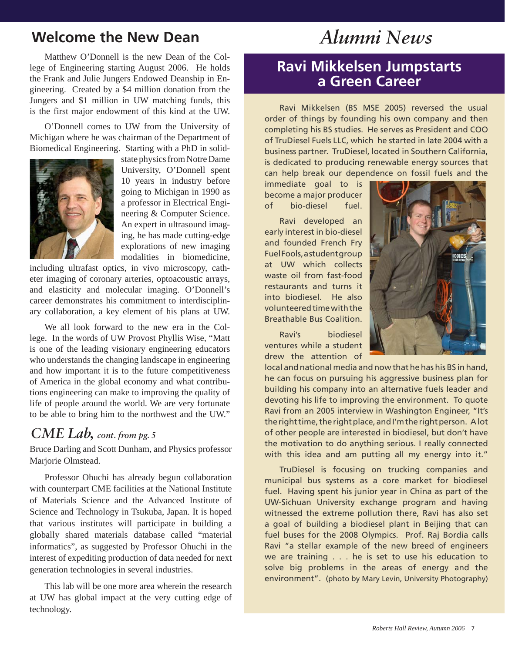# **Welcome the New Dean** *Alumni News*

Matthew O'Donnell is the new Dean of the College of Engineering starting August 2006. He holds the Frank and Julie Jungers Endowed Deanship in Engineering. Created by a \$4 million donation from the Jungers and \$1 million in UW matching funds, this is the first major endowment of this kind at the UW.

O'Donnell comes to UW from the University of Michigan where he was chairman of the Department of Biomedical Engineering. Starting with a PhD in solid-



state physics from Notre Dame University, O'Donnell spent 10 years in industry before going to Michigan in 1990 as a professor in Electrical Engineering & Computer Science. An expert in ultrasound imaging, he has made cutting-edge explorations of new imaging modalities in biomedicine,

including ultrafast optics, in vivo microscopy, catheter imaging of coronary arteries, optoacoustic arrays, and elasticity and molecular imaging. O'Donnell's career demonstrates his commitment to interdisciplinary collaboration, a key element of his plans at UW.

We all look forward to the new era in the College. In the words of UW Provost Phyllis Wise, "Matt is one of the leading visionary engineering educators who understands the changing landscape in engineering and how important it is to the future competitiveness of America in the global economy and what contributions engineering can make to improving the quality of life of people around the world. We are very fortunate to be able to bring him to the northwest and the UW."

## *CME Lab, cont. from pg. 5*

Bruce Darling and Scott Dunham, and Physics professor Marjorie Olmstead.

Professor Ohuchi has already begun collaboration with counterpart CME facilities at the National Institute of Materials Science and the Advanced Institute of Science and Technology in Tsukuba, Japan. It is hoped that various institutes will participate in building a globally shared materials database called "material informatics", as suggested by Professor Ohuchi in the interest of expediting production of data needed for next generation technologies in several industries.

This lab will be one more area wherein the research at UW has global impact at the very cutting edge of technology.

# **Ravi Mikkelsen Jumpstarts a Green Career**

Ravi Mikkelsen (BS MSE 2005) reversed the usual order of things by founding his own company and then completing his BS studies. He serves as President and COO of TruDiesel Fuels LLC, which he started in late 2004 with a business partner. TruDiesel, located in Southern California, is dedicated to producing renewable energy sources that can help break our dependence on fossil fuels and the

immediate goal to is become a major producer of bio-diesel fuel.

Ravi developed an early interest in bio-diesel and founded French Fry Fuel Fools, a student group at UW which collects waste oil from fast-food restaurants and turns it into biodiesel. He also volunteered time with the Breathable Bus Coalition.

Ravi's biodiesel ventures while a student drew the attention of



local and national media and now that he has his BS in hand, he can focus on pursuing his aggressive business plan for building his company into an alternative fuels leader and devoting his life to improving the environment. To quote Ravi from an 2005 interview in Washington Engineer, "It's the right time, the right place, and I'm the right person. A lot of other people are interested in biodiesel, but don't have the motivation to do anything serious. I really connected with this idea and am putting all my energy into it."

TruDiesel is focusing on trucking companies and municipal bus systems as a core market for biodiesel fuel. Having spent his junior year in China as part of the UW-Sichuan University exchange program and having witnessed the extreme pollution there, Ravi has also set a goal of building a biodiesel plant in Beijing that can fuel buses for the 2008 Olympics. Prof. Raj Bordia calls Ravi "a stellar example of the new breed of engineers we are training . . . he is set to use his education to solve big problems in the areas of energy and the environment". (photo by Mary Levin, University Photography)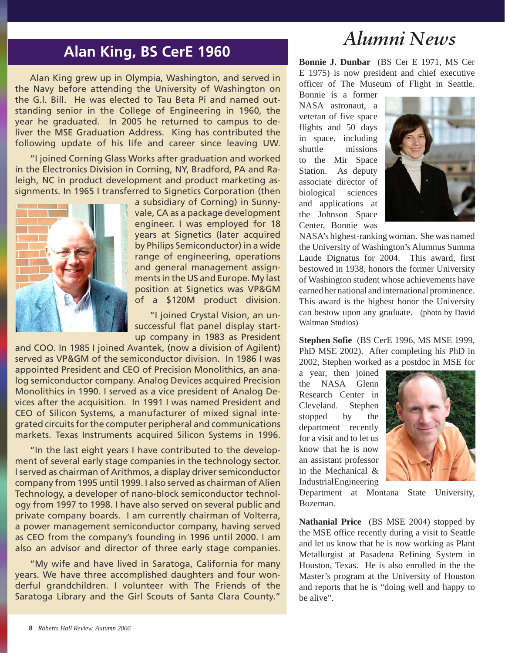# *Alumni News*

# **Alan King, BS CerE 1960**

Alan King grew up in Olympia, Washington, and served in the Navy before attending the University of Washington on the G.l. Bill. He was elected to Tau Beta Pi and named outstanding senior in the College of Engineering in 1960, the year he graduated. In 2005 he returned to campus to deliver the MSE Graduation Address. King has contributed the following update of his life and career since leaving UW.

"I joined Corning Glass Works after graduation and worked in the Electronics Division in Corning, NY, Bradford, PA and Raleigh, NC in product development and product marketing assignments. In 1965 I transferred to Signetics Corporation (then



a subsidiary of Corning) in Sunnyvale, CA as a package development engineer. I was employed for 18 years at Signetics (later acquired by Philips Semiconductor) in a wide range of engineering, operations and general management assignments in the US and Europe. My last position at Signetics was VP&GM of a \$120M product division.

"I joined Crystal Vision, an unsuccessful flat panel display startup company in 1983 as President

and COO. In 1985 I joined Avantek, (now a division of Agilent) served as VP&GM of the semiconductor division. In 1986 I was appointed President and CEO of Precision Monolithics, an analog semiconductor company. Analog Devices acquired Precision Monolithics in 1990. I served as a vice president of Analog Devices after the acquisition. In 1991 I was named President and CEO of Silicon Systems, a manufacturer of mixed signal integrated circuits for the computer peripheral and communications markets. Texas Instruments acquired Silicon Systems in 1996.

"In the last eight years I have contributed to the development of several early stage companies in the technology sector. I served as chairman of Arithmos, a display driver semiconductor company from 1995 until 1999. I also served as chairman of Alien Technology, a developer of nano-block semiconductor technology from 1997 to 1998. I have also served on several public and private company boards. I am currently chairman of Volterra, a power management semiconductor company, having served as CEO from the company's founding in 1996 until 2000. I am also an advisor and director of three early stage companies.

"My wife and have lived in Saratoga, California for many years. We have three accomplished daughters and four wonderful grandchildren. I volunteer with The Friends of the Saratoga Library and the Girl Scouts of Santa Clara County."

**Bonnie J. Dunbar** (BS Cer E 1971, MS Cer E 1975) is now president and chief executive officer of The Museum of Flight in Seattle.

Bonnie is a former NASA astronaut, a veteran of five space flights and 50 days in space, including shuttle missions to the Mir Space Station. As deputy associate director of biological sciences and applications at the Johnson Space Center, Bonnie was



NASA's highest-ranking woman. She was named the University of Washington's Alumnus Summa Laude Dignatus for 2004. This award, first bestowed in 1938, honors the former University of Washington student whose achievements have earned her national and international prominence. This award is the highest honor the University can bestow upon any graduate. (photo by David Waltman Studios)

**Stephen Sofie** (BS CerE 1996, MS MSE 1999, PhD MSE 2002). After completing his PhD in 2002, Stephen worked as a postdoc in MSE for

a year, then joined the NASA Glenn Research Center in Cleveland. Stephen stopped by the department recently for a visit and to let us know that he is now an assistant professor in the Mechanical & Industrial Engineering



Department at Montana State University, Bozeman.

**Nathanial Price** (BS MSE 2004) stopped by the MSE office recently during a visit to Seattle and let us know that he is now working as Plant Metallurgist at Pasadena Refining System in Houston, Texas. He is also enrolled in the the Master's program at the University of Houston and reports that he is "doing well and happy to be alive".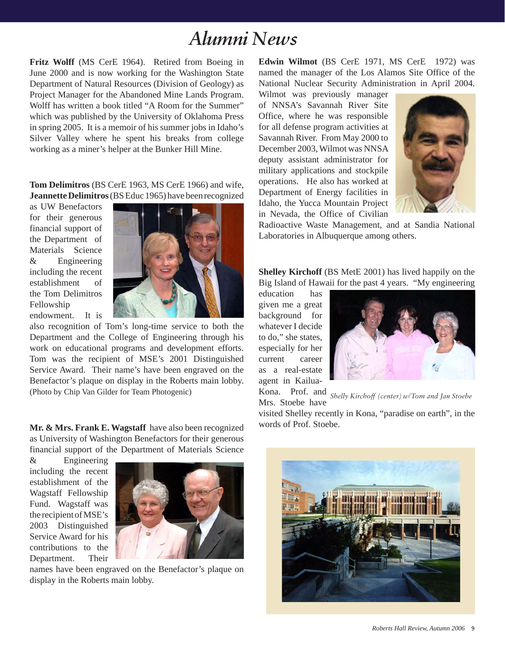# *Alumni News*

**Fritz Wolff** (MS CerE 1964). Retired from Boeing in June 2000 and is now working for the Washington State Department of Natural Resources (Division of Geology) as Project Manager for the Abandoned Mine Lands Program. Wolff has written a book titled "A Room for the Summer" which was published by the University of Oklahoma Press in spring 2005. It is a memoir of his summer jobs in Idaho's Silver Valley where he spent his breaks from college working as a miner's helper at the Bunker Hill Mine.

**Tom Delimitros** (BS CerE 1963, MS CerE 1966) and wife, **Jeannette Delimitros** (BS Educ 1965) have been recognized

as UW Benefactors for their generous financial support of the Department of Materials Science & Engineering including the recent establishment of the Tom Delimitros Fellowship endowment. It is



also recognition of Tom's long-time service to both the Department and the College of Engineering through his work on educational programs and development efforts. Tom was the recipient of MSE's 2001 Distinguished Service Award. Their name's have been engraved on the Benefactor's plaque on display in the Roberts main lobby. (Photo by Chip Van Gilder for Team Photogenic)

**Mr. & Mrs. Frank E. Wagstaff** have also been recognized as University of Washington Benefactors for their generous financial support of the Department of Materials Science

& Engineering including the recent establishment of the Wagstaff Fellowship Fund. Wagstaff was the recipient of MSE's 2003 Distinguished Service Award for his contributions to the Department. Their



names have been engraved on the Benefactor's plaque on display in the Roberts main lobby.

**Edwin Wilmot** (BS CerE 1971, MS CerE 1972) was named the manager of the Los Alamos Site Office of the National Nuclear Security Administration in April 2004.

Wilmot was previously manager of NNSA's Savannah River Site Office, where he was responsible for all defense program activities at Savannah River. From May 2000 to December 2003, Wilmot was NNSA deputy assistant administrator for military applications and stockpile operations. He also has worked at Department of Energy facilities in Idaho, the Yucca Mountain Project in Nevada, the Office of Civilian



Radioactive Waste Management, and at Sandia National Laboratories in Albuquerque among others.

**Shelley Kirchoff** (BS MetE 2001) has lived happily on the Big Island of Hawaii for the past 4 years. "My engineering

education has given me a great background for whatever I decide to do," she states, especially for her current career as a real-estate agent in Kailua-



Kona. Prof. and *Shelly Kirchoff (center) w/Tom and Jan Stoebe*Mrs. Stoebe have

visited Shelley recently in Kona, "paradise on earth", in the words of Prof. Stoebe.

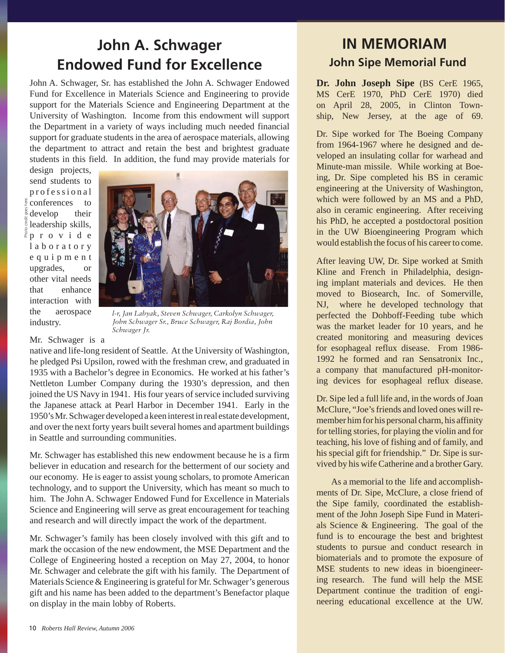# **John A. Schwager Endowed Fund for Excellence**

John A. Schwager, Sr. has established the John A. Schwager Endowed Fund for Excellence in Materials Science and Engineering to provide support for the Materials Science and Engineering Department at the University of Washington. Income from this endowment will support the Department in a variety of ways including much needed financial support for graduate students in the area of aerospace materials, allowing the department to attract and retain the best and brightest graduate students in this field. In addition, the fund may provide materials for

design projects, send students to p r o f e s s i o n a l conferences to  $\frac{8}{9}$  develop their leadership skills, p r o v i d e l a b o r a t o r y e q u i p m e n t upgrades, or other vital needs that enhance interaction with the aerospace industry.

Photo credit goes here.

Phot



*l-r, Jan Labyak, Steven Schwager, Carkolyn Schwager, John Schwager Sr., Bruce Schwager, Raj Bordia, John Schwager Jr.*

Mr. Schwager is a

native and life-long resident of Seattle. At the University of Washington, he pledged Psi Upsilon, rowed with the freshman crew, and graduated in 1935 with a Bachelor's degree in Economics. He worked at his father's Nettleton Lumber Company during the 1930's depression, and then joined the US Navy in 1941. His four years of service included surviving the Japanese attack at Pearl Harbor in December 1941. Early in the 1950's Mr. Schwager developed a keen interest in real estate development, and over the next forty years built several homes and apartment buildings in Seattle and surrounding communities.

Mr. Schwager has established this new endowment because he is a firm believer in education and research for the betterment of our society and our economy. He is eager to assist young scholars, to promote American technology, and to support the University, which has meant so much to him. The John A. Schwager Endowed Fund for Excellence in Materials Science and Engineering will serve as great encouragement for teaching and research and will directly impact the work of the department.

Mr. Schwager's family has been closely involved with this gift and to mark the occasion of the new endowment, the MSE Department and the College of Engineering hosted a reception on May 27, 2004, to honor Mr. Schwager and celebrate the gift with his family. The Department of Materials Science & Engineering is grateful for Mr. Schwager's generous gift and his name has been added to the department's Benefactor plaque on display in the main lobby of Roberts.

# **IN MEMORIAM John Sipe Memorial Fund**

**Dr. John Joseph Sipe** (BS CerE 1965, MS CerE 1970, PhD CerE 1970) died on April 28, 2005, in Clinton Township, New Jersey, at the age of 69.

Dr. Sipe worked for The Boeing Company from 1964-1967 where he designed and developed an insulating collar for warhead and Minute-man missile. While working at Boeing, Dr. Sipe completed his BS in ceramic engineering at the University of Washington, which were followed by an MS and a PhD, also in ceramic engineering. After receiving his PhD, he accepted a postdoctoral position in the UW Bioengineering Program which would establish the focus of his career to come.

After leaving UW, Dr. Sipe worked at Smith Kline and French in Philadelphia, designing implant materials and devices. He then moved to Biosearch, Inc. of Somerville, NJ, where he developed technology that perfected the Dohboff-Feeding tube which was the market leader for 10 years, and he created monitoring and measuring devices for esophageal reflux disease. From 1986- 1992 he formed and ran Sensatronix Inc., a company that manufactured pH-monitoring devices for esophageal reflux disease.

Dr. Sipe led a full life and, in the words of Joan McClure, "Joe's friends and loved ones will remember him for his personal charm, his affinity for telling stories, for playing the violin and for teaching, his love of fishing and of family, and his special gift for friendship." Dr. Sipe is survived by his wife Catherine and a brother Gary.

As a memorial to the life and accomplishments of Dr. Sipe, McClure, a close friend of the Sipe family, coordinated the establishment of the John Joseph Sipe Fund in Materials Science & Engineering. The goal of the fund is to encourage the best and brightest students to pursue and conduct research in biomaterials and to promote the exposure of MSE students to new ideas in bioengineering research. The fund will help the MSE Department continue the tradition of engineering educational excellence at the UW.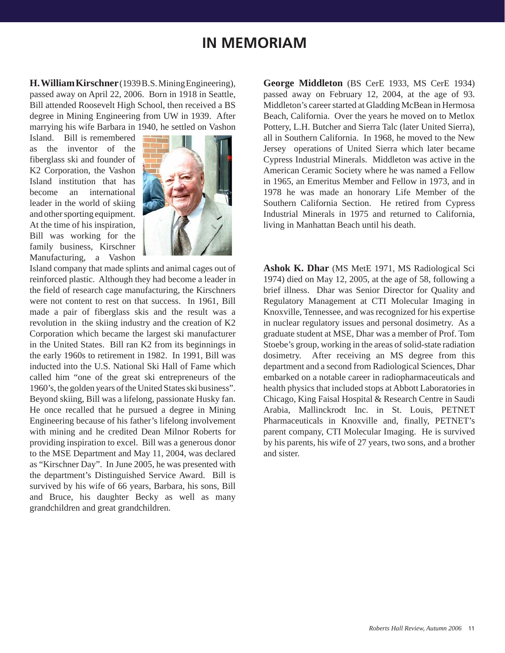# **IN MEMORIAM**

**H. William Kirschner** (1939 B.S. Mining Engineering), passed away on April 22, 2006. Born in 1918 in Seattle, Bill attended Roosevelt High School, then received a BS degree in Mining Engineering from UW in 1939. After marrying his wife Barbara in 1940, he settled on Vashon

Island. Bill is remembered as the inventor of the fiberglass ski and founder of K2 Corporation, the Vashon Island institution that has become an international leader in the world of skiing and other sporting equipment. At the time of his inspiration, Bill was working for the family business, Kirschner Manufacturing, a Vashon



Island company that made splints and animal cages out of reinforced plastic. Although they had become a leader in the field of research cage manufacturing, the Kirschners were not content to rest on that success. In 1961, Bill made a pair of fiberglass skis and the result was a revolution in the skiing industry and the creation of K2 Corporation which became the largest ski manufacturer in the United States. Bill ran K2 from its beginnings in the early 1960s to retirement in 1982. In 1991, Bill was inducted into the U.S. National Ski Hall of Fame which called him "one of the great ski entrepreneurs of the 1960's, the golden years of the United States ski business". Beyond skiing, Bill was a lifelong, passionate Husky fan. He once recalled that he pursued a degree in Mining Engineering because of his father's lifelong involvement with mining and he credited Dean Milnor Roberts for providing inspiration to excel. Bill was a generous donor to the MSE Department and May 11, 2004, was declared as "Kirschner Day". In June 2005, he was presented with the department's Distinguished Service Award. Bill is survived by his wife of 66 years, Barbara, his sons, Bill and Bruce, his daughter Becky as well as many grandchildren and great grandchildren.

**George Middleton** (BS CerE 1933, MS CerE 1934) passed away on February 12, 2004, at the age of 93. Middleton's career started at Gladding McBean in Hermosa Beach, California. Over the years he moved on to Metlox Pottery, L.H. Butcher and Sierra Talc (later United Sierra), all in Southern California. In 1968, he moved to the New Jersey operations of United Sierra which later became Cypress Industrial Minerals. Middleton was active in the American Ceramic Society where he was named a Fellow in 1965, an Emeritus Member and Fellow in 1973, and in 1978 he was made an honorary Life Member of the Southern California Section. He retired from Cypress Industrial Minerals in 1975 and returned to California, living in Manhattan Beach until his death.

**Ashok K. Dhar** (MS MetE 1971, MS Radiological Sci 1974) died on May 12, 2005, at the age of 58, following a brief illness. Dhar was Senior Director for Quality and Regulatory Management at CTI Molecular Imaging in Knoxville, Tennessee, and was recognized for his expertise in nuclear regulatory issues and personal dosimetry. As a graduate student at MSE, Dhar was a member of Prof. Tom Stoebe's group, working in the areas of solid-state radiation dosimetry. After receiving an MS degree from this department and a second from Radiological Sciences, Dhar embarked on a notable career in radiopharmaceuticals and health physics that included stops at Abbott Laboratories in Chicago, King Faisal Hospital & Research Centre in Saudi Arabia, Mallinckrodt Inc. in St. Louis, PETNET Pharmaceuticals in Knoxville and, finally, PETNET's parent company, CTI Molecular Imaging. He is survived by his parents, his wife of 27 years, two sons, and a brother and sister.